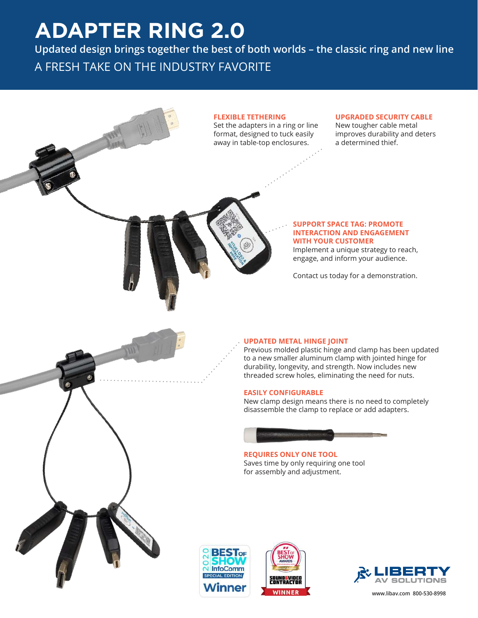# **ADAPTER RING 2.0**

**Updated design brings together the best of both worlds – the classic ring and new line** A FRESH TAKE ON THE INDUSTRY FAVORITE









**www.libav.com 800-530-8998**